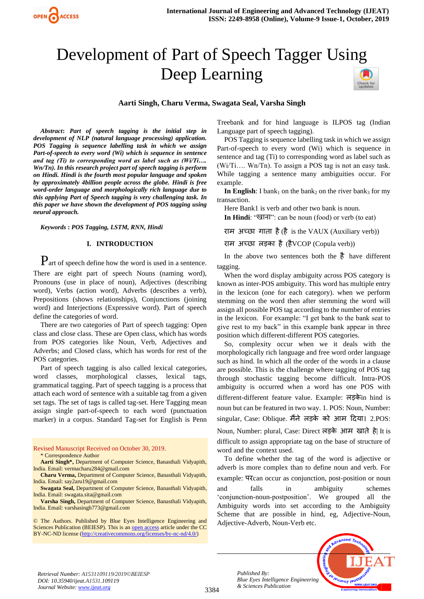

# Development of Part of Speech Tagger Using Deep Learning



## **Aarti Singh, Charu Verma, Swagata Seal, Varsha Singh**

*Abstract***:** *Part of speech tagging is the initial step in development of NLP (natural language processing) application. POS Tagging is sequence labelling task in which we assign Part-of-speech to every word (Wi) which is sequence in sentence and tag (Ti) to corresponding word as label such as (Wi/Ti…. Wn/Tn). In this research project part of speech tagging is perform on Hindi. Hindi is the fourth most popular language and spoken by approximately 4billion people across the globe. Hindi is free word-order language and morphologically rich language due to this applying Part of Speech tagging is very challenging task. In this paper we have shown the development of POS tagging using neural approach.*

*Keywords* **:** *POS Tagging, LSTM, RNN, Hindi*

#### **I. INTRODUCTION**

Part of speech define how the word is used in a sentence. There are eight part of speech Nouns (naming word), Pronouns (use in place of noun), Adjectives (describing word), Verbs (action word), Adverbs (describes a verb), Prepositions (shows relationships), Conjunctions (joining word) and Interjections (Expressive word). Part of speech define the categories of word.

There are two categories of Part of speech tagging: Open class and close class. These are Open class, which has words from POS categories like Noun, Verb, Adjectives and Adverbs; and Closed class, which has words for rest of the POS categories.

Part of speech tagging is also called lexical categories, word classes, morphological classes, lexical tags, grammatical tagging. Part of speech tagging is a process that attach each word of sentence with a suitable tag from a given set tags. The set of tags is called tag-set. Here Tagging mean assign single part-of-speech to each word (punctuation marker) in a corpus. Standard Tag-set for English is Penn

#### Revised Manuscript Received on October 30, 2019. \* Correspondence Author

**Aarti Singh\*,** Department of Computer Science, Banasthali Vidyapith, India. Email: vermacharu284@gmail.com

**Charu Verma,** Department of Computer Science, Banasthali Vidyapith, India. Email: say2aru19@gmail.com

**Swagata Seal,** Department of Computer Science, Banasthali Vidyapith, India. Email: swagata.sita@gmail.com

**Varsha Singh,** Department of Computer Science, Banasthali Vidyapith, India. Email: varshasingh773@gmail.com

© The Authors. Published by Blue Eyes Intelligence Engineering and Sciences Publication (BEIESP). This is an [open access](https://www.openaccess.nl/en/open-publications) article under the CC BY-NC-ND license [\(http://creativecommons.org/licenses/by-nc-nd/4.0/\)](http://creativecommons.org/licenses/by-nc-nd/4.0/)

Treebank and for hind language is ILPOS tag (Indian Language part of speech tagging).

POS Tagging is sequence labelling task in which we assign Part-of-speech to every word (Wi) which is sequence in sentence and tag (Ti) to corresponding word as label such as (Wi/Ti…. Wn/Tn). To assign a POS tag is not an easy task. While tagging a sentence many ambiguities occur. For example.

**In English:** I bank<sub>1</sub> on the bank<sub>2</sub> on the river bank<sub>3</sub> for my transaction.

Here Bank1 is verb and other two bank is noun.

**In Hindi**: "खाना": can be noun (food) or verb (to eat)

राम अच्छा गाता है(है is the VAUX (Auxiliary verb))

राम अच्छा लड़का है(हैVCOP (Copula verb))

In the above two sentences both the  $\frac{3}{6}$  have different tagging.

When the word display ambiguity across POS category is known as inter-POS ambiguity. This word has multiple entry in the lexicon (one for each category). when we perform stemming on the word then after stemming the word will assign all possible POS tag according to the number of entries in the lexicon. For example: "I get bank to the bank seat to give rest to my back" in this example bank appear in three position which different-different POS categories.

So, complexity occur when we it deals with the morphologically rich language and free word order language such as hind. In which all the order of the words in a clause are possible. This is the challenge where tagging of POS tag through stochastic tagging become difficult. Intra-POS ambiguity is occurred when a word has one POS with different-different feature value. Example: लड़केin hind is noun but can be featured in two way. 1. POS: Noun, Number: singular, Case: Oblique. मैंने लड़के को आम दिया। 2.POS: Noun, Number: plural, Case: Direct लड़के आम खाते हे| It is difficult to assign appropriate tag on the base of structure of word and the context used.

To define whether the tag of the word is adjective or adverb is more complex than to define noun and verb. For example: परcan occur as conjunction, post-position or noun and falls in ambiguity schemes 'conjunction-noun-postposition'. We grouped all the Ambiguity words into set according to the Ambiguity Scheme that are possible in hind, eg, Adjective-Noun, Adjective-Adverb, Noun-Verb etc.



*Retrieval Number: A1531109119/2019©BEIESP DOI: 10.35940/ijeat.A1531.109119 Journal Website: [www.ijeat.org](http://www.ijeat.org/)*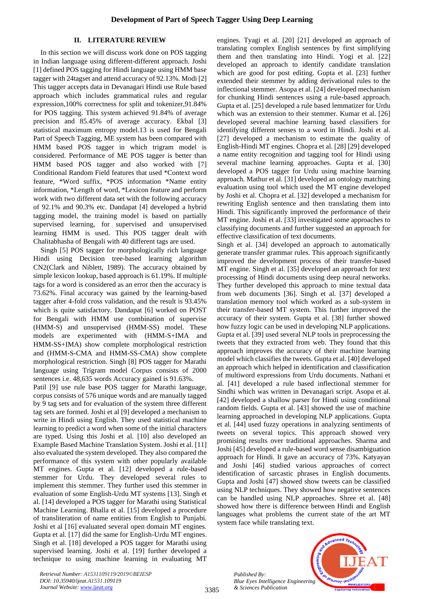# **II. LITERATURE REVIEW**

In this section we will discuss work done on POS tagging in Indian language using different-different approach. Joshi [1] defined POS tagging for Hindi language using HMM base tagger with 24tagset and attend accuracy of 92.13%. Modi [2] This tagger accepts data in Devanagari Hindi use Rule based approach which includes grammatical rules and regular expression,100% correctness for split and tokenizer,91.84% for POS tagging. This system achieved 91.84% of average precision and 85.45% of average accuracy. Ekbal [3] statistical maximum entropy model.13 is used for Bengali Part of Speech Tagging, ME system has been compared with HMM based POS tagger in which trigram model is considered. Performance of ME POS tagger is better than HMM based POS tagger and also worked with [7] Conditional Random Field features that used \*Context word feature, \*Word suffix, \*POS information \*Name entity information, \*Length of word, \*Lexicon feature and perform work with two different data set with the following accuracy of 92.1% and 90.3% etc. Dandapat [4] developed a hybrid tagging model, the training model is based on partially supervised learning, for supervised and unsupervised learning HMM is used. This POS tagger dealt with Chalitabhasha of Bengali with 40 different tags are used.

Singh [5] POS tagger for morphologically rich language Hindi using Decision tree-based learning algorithm CN2(Clark and Niblett, 1989). The accuracy obtained by simple lexicon lookup, based approach is 61.19%. If multiple tags for a word is considered as an error then the accuracy is 73.62%. Final accuracy was gained by the learning-based tagger after 4-fold cross validation, and the result is 93.45% which is quite satisfactory. Dandapat [6] worked on POST for Bengali with HMM use combination of supervise (HMM-S) and unsupervised (HMM-SS) model. These models are experimented with (HMM-S+IMA and HMM-SS+IMA) show complete morphological restriction and (HMM-S-CMA and HMM-SS-CMA) show complete morphological restriction. Singh [8] POS tagger for Marathi language using Trigram model Corpus consists of 2000 sentences i.e. 48,635 words Accuracy gained is 91.63%.

Patil [9] use rule base POS tagger for Marathi language, corpus consists of 576 unique words and are manually tagged by 9 tag sets and for evaluation of the system three different tag sets are formed. Joshi et al [9] developed a mechanism to write in Hindi using English. They used statistical machine learning to predict a word when some of the initial characters are typed. Using this Joshi et al. [10] also developed an Example Based Machine Translation System. Joshi et al. [11] also evaluated the system developed. They also compared the performance of this system with other popularly available MT engines. Gupta et al. [12] developed a rule-based stemmer for Urdu. They developed several rules to implement this stemmer. They further used this stemmer in evaluation of some English-Urdu MT systems [13]. Singh et al. [14] developed a POS tagger for Marathi using Statistical Machine Learning. Bhalla et al. [15] developed a procedure of transliteration of name entities from English to Punjabi. Joshi et al [16] evaluated several open domain MT engines. Gupta et al. [17] did the same for English-Urdu MT engines. Singh et al. [18] developed a POS tagger for Marathi using supervised learning. Joshi et al. [19] further developed a technique to using machine learning in evaluating MT engines. Tyagi et al. [20] [21] developed an approach of translating complex English sentences by first simplifying them and then translating into Hindi. Yogi et al. [22] developed an approach to identify candidate translation which are good for post editing. Gupta et al. [23] further extended their stemmer by adding derivational rules to the inflectional stemmer. Asopa et al. [24] developed mechanism for chunking Hindi sentences using a rule-based approach. Gupta et al. [25] developed a rule based lemmatizer for Urdu which was an extension to their stemmer. Kumar et al. [26] developed several machine learning based classifiers for identifying different senses to a word in Hindi. Joshi et al. [27] developed a mechanism to estimate the quality of English-Hindi MT engines. Chopra et al. [28] [29] developed a name entity recognition and tagging tool for Hindi using several machine learning approaches. Gupta et al. [30] developed a POS tagger for Urdu using machine learning approach. Mathur et al. [31] developed an ontology matching evaluation using tool which used the MT engine developed by Joshi et al. Chopra et al. [32] developed a mechanism for rewriting English sentence and then translating them into Hindi. This significantly improved the performance of their MT engine. Joshi et al. [33] investigated some approaches to classifying documents and further suggested an approach for effective classification of text documents.

Singh et al. [34] developed an approach to automatically generate transfer grammar rules. This approach significantly improved the development process of their transfer-based MT engine. Singh et al. [35] developed an approach for text processing of Hindi documents using deep neural networks. They further developed this approach to mine textual data from web documents [36]. Singh et al. [37] developed a translation memory tool which worked as a sub-system in their transfer-based MT system. This further improved the accuracy of their system. Gupta et al. [38] further showed how fuzzy logic can be used in developing NLP applications. Gupta et al. [39] used several NLP tools in preprocessing the tweets that they extracted from web. They found that this approach improves the accuracy of their machine learning model which classifies the tweets. Gupta et al. [40] developed an approach which helped in identification and classification of multiword expressions from Urdu documents. Nathani et al. [41] developed a rule based inflectional stemmer for Sindhi which was written in Devanagari script. Asopa et al. [42] developed a shallow parser for Hindi using conditional random fields. Gupta et al. [43] showed the use of machine learning approached in developing NLP applications. Gupta et al. [44] used fuzzy operations in analyzing sentiments of tweets on several topics. This approach showed very promising results over traditional approaches. Sharma and Joshi [45] developed a rule-based word sense disambiguation approach for Hindi. It gave an accuracy of 73%. Katyayan and Joshi [46] studied various approaches of correct identification of sarcastic phrases in English documents. Gupta and Joshi [47] showed show tweets can be classified using NLP techniques. They showed how negative sentences can be handled using NLP approaches. Shree et al. [48] showed how there is difference between Hindi and English languages what problems the current state of the art MT system face while translating text.

*Published By: Blue Eyes Intelligence Engineering & Sciences Publication* 



*Retrieval Number: A1531109119/2019©BEIESP DOI: 10.35940/ijeat.A1531.109119 Journal Website: [www.ijeat.org](http://www.ijeat.org/)*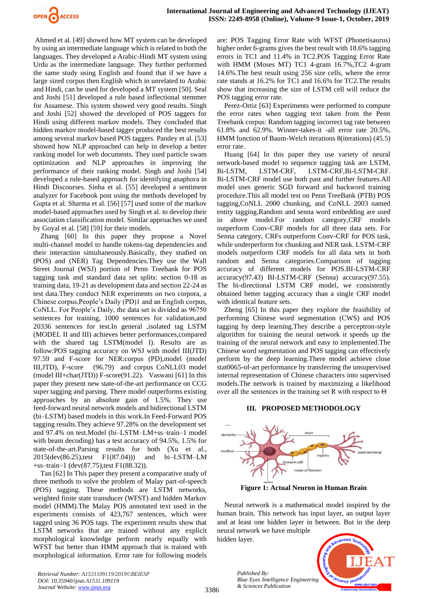

Ahmed et al. [49] showed how MT system can be developed by using an intermediate language which is related to both the languages. They developed a Arabic-Hindi MT system using Urdu as the intermediate language. They further performed the same study using English and found that if we have a large sized corpus then English which in unrelated to Arabic and Hindi, can be used for developed a MT system [50]. Seal and Joshi [51] developed a rule based inflectional stemmer for Assamese. This system showed very good results. Singh and Joshi [52] showed the developed of POS taggers for Hindi using different markov models. They concluded that hidden markov model-based tagger produced the best results among several markov based POS taggers. Pandey et al. [53] showed how NLP approached can help in develop a better ranking model for web documents. They used particle swam optimization and NLP approaches in improving the performance of their ranking model. Singh and Joshi [54] developed a rule-based approach for identifying anaphora in Hindi Discourses. Sinha et al. [55] developed a sentiment analyzer for Facebook post using the methods developed by Gupta et al. Sharma et al. [56] [57] used some of the markov model-based approaches used by Singh et al. to develop their association classification model. Similar approaches we used by Goyal et al. [58] [59] for their models.

Zhang [60] In this paper they propose a Novel multi-channel model to handle tokens-tag dependencies and their interaction simultaneously.Basically, they studied on (POS) and (NER) Tag Dependencies.They use the Wall Street Journal (WSJ) portion of Penn Treebank for POS tagging task and standard data set splits: section 0-18 as training data, 19-21 as development data and section 22-24 as test data.They conduct NER experiments on two corpora, a Chinese corpus,People's Daily (PD)1 and an English corpus, CoNLL. For People's Daily, the data set is divided as 96750 sentences for training, 1000 sentences for validation,and 20336 sentences for test.In general ,isolated tag LSTM (MODEL II and III) achieves better performances,compared with the shared tag LSTM(model I). Results are as follow:POS tagging accuracy on WSJ with model III(JTD) 97.59 and F-score for NER:corpus (PD),model (model III,JTD), F-score (96.79) and corpus CoNLL03 model (model III+char(JTD)) F-score(91.22). Vaswani [61] In this paper they present new state-of-the-art performance on CCG super tagging and parsing. There model outperforms existing approaches by an absolute gain of 1.5%. They use feed-forward neural network models and bidirectional LSTM (bi–LSTM) based models in this work.In Feed-Forward POS tagging results.They achieve 97.28% on the development set and 97.4% on test.Model (bi–LSTM–LM+ss–train–1 model with beam decoding) has a test accuracy of 94.5%, 1.5% for state-of-the-art.Parsing results for both (Xu et al., 2015(dev(86.25),test F1(87.04))) and bi–LSTM–LM +ss–train–1 (dev(87.75),test F1(88.32)).

Tan [62] In This paper they present a comparative study of three methods to solve the problem of Malay part-of-speech (POS) tagging. These methods are LSTM networks, weighted finite state transducer (WFST) and hidden Markov model (HMM).The Malay POS annotated text used in the experiments consists of 423,767 sentences, which were tagged using 36 POS tags. The experiment results show that LSTM networks that are trained without any explicit morphological knowledge perform nearly equally with WFST but better than HMM approach that is trained with morphological information. Error rate for following models are: POS Tagging Error Rate with WFST (Phonetisaurus) higher order 6-grams gives the best result with 18.6% tagging errors in TC1 and 11.4% in TC2.POS Tagging Error Rate with HMM (Moses MT) TC1 4-gram 16.7%,TC2 4-gram 14.6%.The best result using 256 size cells, where the error rate stands at 16.2% for TC1 and 16.6% for TC2.The results show that increasing the size of LSTM cell will reduce the POS tagging error rate.

Perez-Ortiz [63] Experiments were performed to compute the error rates when tagging text taken from the Penn Treebank corpus: Random tagging incorrect tag rate between 61.8% and 62.9%. Winner-takes-it -all error rate 20.5%, HMM function of Baum-Welch iterations 8(iterations) (45.5) error rate.

Huang [64] In this paper they use variety of neural network-based model to sequence tagging task are LSTM, Bi-LSTM, LSTM-CRF, LSTM-CRF,Bi-LSTM-CRF. Bi-LSTM-CRF model use both past and further features.All model uses generic SGD forward and backword training procedure.This all model test on Penn TreeBank (PTB) POS tagging,CoNLL 2000 chunking, and CoNLL 2003 named entity tagging.Random and senna word embedding are used in above model.For random category,CRF models outperform Conv-CRF models for all three data sets. For Senna category, CRFs outperform Conv-CRF for POS task, while underperform for chunking and NER task. LSTM-CRF models outperform CRF models for all data sets in both random and Senna categories.Comparison of tagging accuracy of different models for POS.BI-LSTM-CRF accuracy(97.43) BI-LSTM-CRF (Senna) accuracy(97.55). The bi-directional LSTM CRF model, we consistently obtained better tagging accuracy than a single CRF model with identical feature sets.

Zheng [65] In this paper they explore the feasibility of performing Chinese word segmentation (CWS) and POS tagging by deep learning.They describe a perceptron-style algorithm for training the neural network it speeds up the training of the neural network and easy to implemented.The Chinese word segmentation and POS tagging can effectively perform by the deep learning.There model achieve close stat0065-of-art performance by transferring the unsupervised internal representation of Chinese characters into supervised models.The network is trained by maximizing a likelihood over all the sentences in the training set R with respect to Θ

#### **III. PROPOSED METHODOLOGY**



**Figure 1: Actual Neuron in Human Brain**

Neural network is a mathematical model inspired by the human brain. This network has input layer, an output layer and at least one hidden layer in between. But in the deep neural network we have multiple

hidden layer.

*Published By:*

*& Sciences Publication* 



*Retrieval Number: A1531109119/2019©BEIESP DOI: 10.35940/ijeat.A1531.109119 Journal Website: [www.ijeat.org](http://www.ijeat.org/)*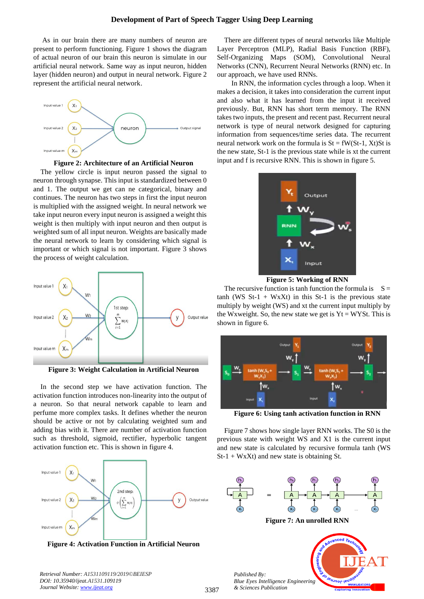As in our brain there are many numbers of neuron are present to perform functioning. Figure 1 shows the diagram of actual neuron of our brain this neuron is simulate in our artificial neural network. Same way as input neuron, hidden layer (hidden neuron) and output in neural network. Figure 2 represent the artificial neural network.



**Figure 2: Architecture of an Artificial Neuron**

The yellow circle is input neuron passed the signal to neuron through synapse. This input is standardized between 0 and 1. The output we get can ne categorical, binary and continues. The neuron has two steps in first the input neuron is multiplied with the assigned weight. In neural network we take input neuron every input neuron is assigned a weight this weight is then multiply with input neuron and then output is weighted sum of all input neuron. Weights are basically made the neural network to learn by considering which signal is important or which signal is not important. Figure 3 shows the process of weight calculation.



**Figure 3: Weight Calculation in Artificial Neuron**

In the second step we have activation function. The activation function introduces non-linearity into the output of a neuron. So that neural network capable to learn and perfume more complex tasks. It defines whether the neuron should be active or not by calculating weighted sum and adding bias with it. There are number of activation function such as threshold, sigmoid, rectifier, hyperbolic tangent activation function etc. This is shown in figure 4.



**Figure 4: Activation Function in Artificial Neuron**

There are different types of neural networks like Multiple Layer Perceptron (MLP), Radial Basis Function (RBF), Self-Organizing Maps (SOM), Convolutional Neural Networks (CNN), Recurrent Neural Networks (RNN) etc. In our approach, we have used RNNs.

In RNN, the information cycles through a loop. When it makes a decision, it takes into consideration the current input and also what it has learned from the input it received previously. But, RNN has short term memory. The RNN takes two inputs, the present and recent past. Recurrent neural network is type of neural network designed for capturing information from sequences/time series data. The recurrent neural network work on the formula is  $St = fW(St-1, Xt)St$  is the new state, St-1 is the previous state while is xt the current input and f is recursive RNN. This is shown in figure 5.



**Figure 5: Working of RNN**

The recursive function is tanh function the formula is  $S =$ tanh (WS  $St-1 + WxXt$ ) in this  $St-1$  is the previous state multiply by weight (WS) and xt the current input multiply by the Wxweight. So, the new state we get is  $Yt = WYSt$ . This is shown in figure 6.



**Figure 6: Using tanh activation function in RNN**

Figure 7 shows how single layer RNN works. The S0 is the previous state with weight WS and X1 is the current input and new state is calculated by recursive formula tanh (WS  $St-1 + W<sub>X</sub>Xt$ ) and new state is obtaining St.



**Figure 7: An unrolled RNN**

**EUJNOF IEU**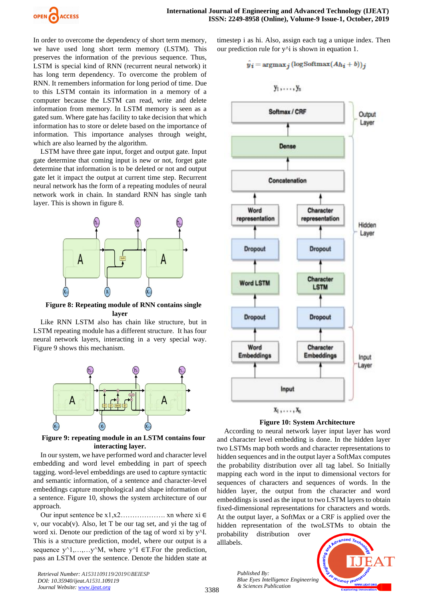

In order to overcome the dependency of short term memory, we have used long short term memory (LSTM). This preserves the information of the previous sequence. Thus, LSTM is special kind of RNN (recurrent neural network) it has long term dependency. To overcome the problem of RNN. It remembers information for long period of time. Due to this LSTM contain its information in a memory of a computer because the LSTM can read, write and delete information from memory. In LSTM memory is seen as a gated sum. Where gate has facility to take decision that which information has to store or delete based on the importance of information. This importance analyses through weight, which are also learned by the algorithm.

LSTM have three gate input, forget and output gate. Input gate determine that coming input is new or not, forget gate determine that information is to be deleted or not and output gate let it impact the output at current time step. Recurrent neural network has the form of a repeating modules of neural network work in chain. In standard RNN has single tanh layer. This is shown in figure 8.



**Figure 8: Repeating module of RNN contains single layer**

Like RNN LSTM also has chain like structure, but in LSTM repeating module has a different structure. It has four neural network layers, interacting in a very special way. Figure 9 shows this mechanism.



**Figure 9: repeating module in an LSTM contains four interacting layer.**

In our system, we have performed word and character level embedding and word level embedding in part of speech tagging. word-level embeddings are used to capture syntactic and semantic information, of a sentence and character-level embeddings capture morphological and shape information of a sentence. Figure 10, shows the system architecture of our approach.

Our input sentence be  $x1, x2, \ldots, xn$  where  $xi \in$ v, our vocab(v). Also, let T be our tag set, and yi the tag of word xi. Denote our prediction of the tag of word xi by y^I. This is a structure prediction, model, where our output is a sequence y^1,…,…y^M, where y^I ∈T.For the prediction, pass an LSTM over the sentence. Denote the hidden state at

*Retrieval Number: A1531109119/2019©BEIESP DOI: 10.35940/ijeat.A1531.109119 Journal Website: [www.ijeat.org](http://www.ijeat.org/)*

timestep i as hi. Also, assign each tag a unique index. Then our prediction rule for  $y^{\lambda}$  is shown in equation 1.

$$
\hat{y_i} = \operatorname{argmax}_{j} (\log \operatorname{Softmax}(Ah_i + b))_j
$$

$$
y_1,\ldots,y_n\,
$$





According to neural network layer input layer has word and character level embedding is done. In the hidden layer two LSTMs map both words and character representations to hidden sequences and in the output layer a SoftMax computes the probability distribution over all tag label. So Initially mapping each word in the input to dimensional vectors for sequences of characters and sequences of words. In the hidden layer, the output from the character and word embeddings is used as the input to two LSTM layers to obtain fixed-dimensional representations for characters and words. At the output layer, a SoftMax or a CRF is applied over the hidden representation of the twoLSTMs to obtain the probability distribution over

alllabels.

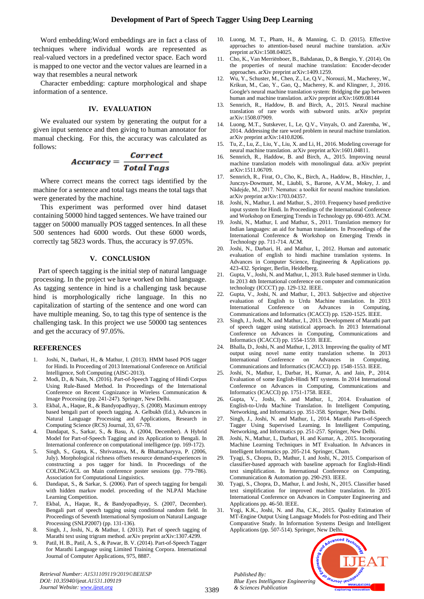Word embedding:Word embeddings are in fact a class of techniques where individual words are represented as real-valued vectors in a predefined vector space. Each word is mapped to one vector and the vector values are learned in a way that resembles a neural network

Character embedding: capture morphological and shape information of a sentence.

## **IV. EVALUATION**

We evaluated our system by generating the output for a given input sentence and then giving to human annotator for manual checking. For this, the accuracy was calculated as follows:

# $Accuracy = \frac{Correct}{Total~Tags}$

Where correct means the correct tags identified by the machine for a sentence and total tags means the total tags that were generated by the machine.

This experiment was performed over hind dataset containing 50000 hind tagged sentences. We have trained our tagger on 50000 manually POS tagged sentences. In all these 500 sentences had 6000 words. Out these 6000 words, correctly tag 5823 words. Thus, the accuracy is 97.05%.

# **V. CONCLUSION**

Part of speech tagging is the initial step of natural language processing. In the project we have worked on hind language. As tagging sentence in hind is a challenging task because hind is morphologically riche language. In this no capitalization of starting of the sentence and one word can have multiple meaning. So, to tag this type of sentence is the challenging task. In this project we use 50000 tag sentences and get the accuracy of 97.05%.

#### **REFERENCES**

- 1. Joshi, N., Darbari, H., & Mathur, I. (2013). HMM based POS tagger for Hindi. In Proceeding of 2013 International Conference on Artificial Intelligence, Soft Computing (AISC-2013).
- 2. Modi, D., & Nain, N. (2016). Part-of-Speech Tagging of Hindi Corpus Using Rule-Based Method. In Proceedings of the International Conference on Recent Cognizance in Wireless Communication & Image Processing (pp. 241-247). Springer, New Delhi.
- 3. Ekbal, A., Haque, R., & Bandyopadhyay, S. (2008). Maximum entropy based bengali part of speech tagging. A. Gelbukh (Ed.), Advances in Natural Language Processing and Applications, Research in Computing Science (RCS) Journal, 33, 67-78.
- 4. Dandapat, S., Sarkar, S., & Basu, A. (2004, December). A Hybrid Model for Part-of-Speech Tagging and its Application to Bengali. In International conference on computational intelligence (pp. 169-172).
- 5. Singh, S., Gupta, K., Shrivastava, M., & Bhattacharyya, P. (2006, July). Morphological richness offsets resource demand-experiences in constructing a pos tagger for hindi. In Proceedings of the COLING/ACL on Main conference poster sessions (pp. 779-786). Association for Computational Linguistics.
- 6. Dandapat, S., & Sarkar, S. (2006). Part of speech tagging for bengali with hidden markov model. proceeding of the NLPAI Machine Learning Competition.
- 7. Ekbal, A., Haque, R., & Bandyopadhyay, S. (2007, December). Bengali part of speech tagging using conditional random field. In Proceedings of Seventh International Symposium on Natural Language Processing (SNLP2007) (pp. 131-136).
- 8. Singh, J., Joshi, N., & Mathur, I. (2013). Part of speech tagging of Marathi text using trigram method. arXiv preprint arXiv:1307.4299.
- 9. Patil, H. B., Patil, A. S., & Pawar, B. V. (2014). Part-of-Speech Tagger for Marathi Language using Limited Training Corpora. International Journal of Computer Applications, 975, 8887.

*Retrieval Number: A1531109119/2019©BEIESP DOI: 10.35940/ijeat.A1531.109119 Journal Website: [www.ijeat.org](http://www.ijeat.org/)*

- 10. Luong, M. T., Pham, H., & Manning, C. D. (2015). Effective approaches to attention-based neural machine translation. arXiv preprint arXiv:1508.04025.
- 11. Cho, K., Van Merriënboer, B., Bahdanau, D., & Bengio, Y. (2014). On the properties of neural machine translation: Encoder-decoder approaches. arXiv preprint arXiv:1409.1259.
- 12. Wu, Y., Schuster, M., Chen, Z., Le, Q.V., Norouzi, M., Macherey, W., Krikun, M., Cao, Y., Gao, Q., Macherey, K. and Klingner, J., 2016. Google's neural machine translation system: Bridging the gap between human and machine translation. arXiv preprint arXiv:1609.08144
- 13. Sennrich, R., Haddow, B. and Birch, A., 2015. Neural machine translation of rare words with subword units. arXiv preprint arXiv:1508.07909.
- 14. Luong, M.T., Sutskever, I., Le, Q.V., Vinyals, O. and Zaremba, W., 2014. Addressing the rare word problem in neural machine translation. arXiv preprint arXiv:1410.8206.
- 15. Tu, Z., Lu, Z., Liu, Y., Liu, X. and Li, H., 2016. Modeling coverage for neural machine translation. arXiv preprint arXiv:1601.04811.
- 16. Sennrich, R., Haddow, B. and Birch, A., 2015. Improving neural machine translation models with monolingual data. arXiv preprint arXiv:1511.06709.
- 17. Sennrich, R., Firat, O., Cho, K., Birch, A., Haddow, B., Hitschler, J., Junczys-Dowmunt, M., Läubli, S., Barone, A.V.M., Mokry, J. and Nădejde, M., 2017. Nematus: a toolkit for neural machine translation. arXiv preprint arXiv:1703.04357.
- 18. Joshi, N., Mathur, I. and Mathur, S., 2010. Frequency based predictive input system for Hindi. In Proceedings of the International Conference and Workshop on Emerging Trends in Technology pp. 690-693. ACM.
- 19. Joshi, N., Mathur, I. and Mathur, S., 2011. Translation memory for Indian languages: an aid for human translators. In Proceedings of the International Conference & Workshop on Emerging Trends in Technology pp. 711-714. ACM.
- 20. Joshi, N., Darbari, H. and Mathur, I., 2012. Human and automatic evaluation of english to hindi machine translation systems. In Advances in Computer Science, Engineering & Applications pp. 423-432. Springer, Berlin, Heidelberg.
- 21. Gupta, V., Joshi, N. and Mathur, I., 2013. Rule based stemmer in Urdu. In 2013 4th International conference on computer and communication technology (ICCCT) pp. 129-132. IEEE.
- 22. Gupta, V., Joshi, N. and Mathur, I., 2013. Subjective and objective evaluation of English to Urdu Machine translation. In 2013 International Conference on Advances in Computing, Communications and Informatics (ICACCI) pp. 1520-1525. IEEE.
- 23. Singh, J., Joshi, N. and Mathur, I., 2013. Development of Marathi part of speech tagger using statistical approach. In 2013 International Conference on Advances in Computing, Communications and Informatics (ICACCI) pp. 1554-1559. IEEE.
- 24. Bhalla, D., Joshi, N. and Mathur, I., 2013. Improving the quality of MT output using novel name entity translation scheme. In 2013 International Conference on Advances in Computing, Communications and Informatics (ICACCI) pp. 1548-1553. IEEE.
- 25. Joshi, N., Mathur, I., Darbar, H., Kumar, A. and Jain, P., 2014. Evaluation of some English-Hindi MT systems. In 2014 International Conference on Advances in Computing, Communications and Informatics (ICACCI) pp. 1751-1758. IEEE.
- 26. Gupta, V., Joshi, N. and Mathur, I., 2014. Evaluation of English-to-Urdu Machine Translation. In Intelligent Computing, Networking, and Informatics pp. 351-358. Springer, New Delhi.
- 27. Singh, J., Joshi, N. and Mathur, I., 2014. Marathi Parts-of-Speech Tagger Using Supervised Learning. In Intelligent Computing, Networking, and Informatics pp. 251-257. Springer, New Delhi.
- 28. Joshi, N., Mathur, I., Darbari, H. and Kumar, A., 2015. Incorporating Machine Learning Techniques in MT Evaluation. In Advances in Intelligent Informatics pp. 205-214. Springer, Cham.
- 29. Tyagi, S., Chopra, D., Mathur, I. and Joshi, N., 2015. Comparison of classifier-based approach with baseline approach for English-Hindi text simplification. In International Conference on Computing, Communication & Automation pp. 290-293. IEEE.
- 30. Tyagi, S., Chopra, D., Mathur, I. and Joshi, N., 2015. Classifier based text simplification for improved machine translation. In 2015 International Conference on Advances in Computer Engineering and Applications pp. 46-50. IEEE.
- 31. Yogi, K.K., Joshi, N. and Jha, C.K., 2015. Quality Estimation of MT-Engine Output Using Language Models for Post-editing and Their Comparative Study. In Information Systems Design and Intelligent Applications (pp. 507-514). Springer, New Delhi.

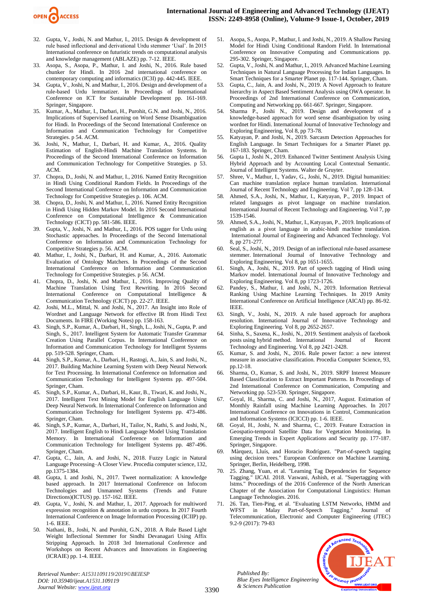

- 32. Gupta, V., Joshi, N. and Mathur, I., 2015. Design & development of rule based inflectional and derivational Urdu stemmer 'Usal'. In 2015 International conference on futuristic trends on computational analysis and knowledge management (ABLAZE) pp. 7-12. IEEE.
- 33. Asopa, S., Asopa, P., Mathur, I. and Joshi, N., 2016. Rule based chunker for Hindi. In 2016 2nd international conference on contemporary computing and informatics (IC3I) pp. 442-445. IEEE.
- Gupta, V., Joshi, N. and Mathur, I., 2016. Design and development of a rule-based Urdu lemmatizer. In Proceedings of International Conference on ICT for Sustainable Development pp. 161-169. Springer, Singapore.
- 35. Kumar, A., Mathur, I., Darbari, H., Purohit, G.N. and Joshi, N., 2016. Implications of Supervised Learning on Word Sense Disambiguation for Hindi. In Proceedings of the Second International Conference on Information and Communication Technology for Competitive Strategies. p 54. ACM.
- 36. Joshi, N., Mathur, I., Darbari, H. and Kumar, A., 2016. Quality Estimation of English-Hindi Machine Translation Systems. In Proceedings of the Second International Conference on Information and Communication Technology for Competitive Strategies. p 53. ACM.
- 37. Chopra, D., Joshi, N. and Mathur, I., 2016. Named Entity Recognition in Hindi Using Conditional Random Fields. In Proceedings of the Second International Conference on Information and Communication Technology for Competitive Strategies p. 106. ACM.
- 38. Chopra, D., Joshi, N. and Mathur, I., 2016. Named Entity Recognition in Hindi Using Hidden Markov Model. In 2016 Second International Conference on Computational Intelligence & Communication Technology (CICT) pp. 581-586. IEEE.
- 39. Gupta, V., Joshi, N. and Mathur, I., 2016. POS tagger for Urdu using Stochastic approaches. In Proceedings of the Second International Conference on Information and Communication Technology for Competitive Strategies p. 56. ACM.
- 40. Mathur, I., Joshi, N., Darbari, H. and Kumar, A., 2016. Automatic Evaluation of Ontology Matchers. In Proceedings of the Second International Conference on Information and Communication Technology for Competitive Strategies. p 56. ACM.
- 41. Chopra, D., Joshi, N. and Mathur, I., 2016. Improving Quality of Machine Translation Using Text Rewriting. In 2016 Second International Conference on Computational Intelligence & Communication Technology (CICT) pp. 22-27. IEEE.
- 42. Joshi, M.L., Mittal, N. and Joshi, N., 2017. An Insight into Role of Wordnet and Language Network for effective IR from Hindi Text Documents. In FIRE (Working Notes) pp. 158-163.
- 43. Singh, S.P., Kumar, A., Darbari, H., Singh, L., Joshi, N., Gupta, P. and Singh, S., 2017. Intelligent System for Automatic Transfer Grammar Creation Using Parallel Corpus. In International Conference on Information and Communication Technology for Intelligent Systems pp. 519-528. Springer, Cham.
- 44. Singh, S.P., Kumar, A., Darbari, H., Rastogi, A., Jain, S. and Joshi, N., 2017. Building Machine Learning System with Deep Neural Network for Text Processing. In International Conference on Information and Communication Technology for Intelligent Systems pp. 497-504. Springer, Cham.
- 45. Singh, S.P., Kumar, A., Darbari, H., Kaur, B., Tiwari, K. and Joshi, N., 2017. Intelligent Text Mining Model for English Language Using Deep Neural Network. In International Conference on Information and Communication Technology for Intelligent Systems pp. 473-486. Springer, Cham.
- 46. Singh, S.P., Kumar, A., Darbari, H., Tailor, N., Rathi, S. and Joshi, N., 2017. Intelligent English to Hindi Language Model Using Translation Memory. In International Conference on Information and Communication Technology for Intelligent Systems pp. 487-496. Springer, Cham.
- 47. Gupta, C., Jain, A. and Joshi, N., 2018. Fuzzy Logic in Natural Language Processing–A Closer View. Procedia computer science, 132, pp.1375-1384.
- 48. Gupta, I. and Joshi, N., 2017. Tweet normalization: A knowledge based approach. In 2017 International Conference on Infocom Technologies and Unmanned Systems (Trends and Future Directions)(ICTUS) pp. 157-162. IEEE.
- 49. Gupta, V., Joshi, N. and Mathur, I., 2017. Approach for multiword expression recognition & annotation in urdu corpora. In 2017 Fourth International Conference on Image Information Processing (ICIIP) pp. 1-6. IEEE.
- 50. Nathani, B., Joshi, N. and Purohit, G.N., 2018. A Rule Based Light Weight Inflectional Stemmer for Sindhi Devanagari Using Affix Stripping Approach. In 2018 3rd International Conference and Workshops on Recent Advances and Innovations in Engineering (ICRAIE) pp. 1-4. IEEE.

*Retrieval Number: A1531109119/2019©BEIESP DOI: 10.35940/ijeat.A1531.109119 Journal Website: [www.ijeat.org](http://www.ijeat.org/)*

- 51. Asopa, S., Asopa, P., Mathur, I. and Joshi, N., 2019. A Shallow Parsing Model for Hindi Using Conditional Random Field. In International Conference on Innovative Computing and Communications pp. 295-302. Springer, Singapore.
- 52. Gupta, V., Joshi, N. and Mathur, I., 2019. Advanced Machine Learning Techniques in Natural Language Processing for Indian Languages. In Smart Techniques for a Smarter Planet pp. 117-144. Springer, Cham.
- 53. Gupta, C., Jain, A. and Joshi, N., 2019. A Novel Approach to feature hierarchy in Aspect Based Sentiment Analysis using OWA operator. In Proceedings of 2nd International Conference on Communication, Computing and Networking pp. 661-667. Springer, Singapore.
- 54. Sharma P., Joshi N., 2019. Design and development of a knowledge-based approach for word sense disambiguation by using wordnet for Hindi. International Journal of Innovative Technology and Exploring Engineering, Vol 8, pp 73-78.
- 55. Katyayan, P. and Joshi, N., 2019. Sarcasm Detection Approaches for English Language. In Smart Techniques for a Smarter Planet pp. 167-183. Springer, Cham.
- 56. Gupta I., Joshi N., 2019. Enhanced Twitter Sentiment Analysis Using Hybrid Approach and by Accounting Local Contextual Semantic. Journal of Intelligent Systems. Walter de Gruyter.
- 57. Shree, V., Mathur, I., Yadav, G., Joshi, N., 2019. Digital humanities: Can machine translation replace human translation. International Journal of Recent Technology and Engineering. Vol 7, pp 128-134.
- 58. Ahmed, S.A., Joshi, N., Mathur, I., Katyayan, P., 2019. Impact of related languages as pivot language on machine translation. International Journal of Recent Technology and Engineering. Vol 7, pp 1539-1546.
- 59. Ahmed, S.A., Joshi, N., Mathur, I., Katyayan, P., 2019. Implications of english as a pivot language in arabic-hindi machine translation. International Journal of Engineering and Advanced Technology. Vol 8, pp 271-277.
- 60. Seal, S., Joshi, N., 2019. Design of an inflectional rule-based assamese stemmer. International Journal of Innovative Technology and Exploring Engineering. Vol 8, pp 1651-1655.
- 61. Singh, A., Joshi, N., 2019. Part of speech tagging of Hindi using Markov model. International Journal of Innovative Technology and Exploring Engineering. Vol 8, pp 1723-1726.
- 62. Pandey, S., Mathur, I. and Joshi, N., 2019. Information Retrieval Ranking Using Machine Learning Techniques. In 2019 Amity International Conference on Artificial Intelligence (AICAI) pp. 86-92. IEEE.
- 63. Singh, V., Joshi, N., 2019. A rule based approach for anaphora resolution. International Journal of Innovative Technology and Exploring Engineering. Vol 8, pp 2652-2657.
- 64. Sinha, S., Saxena, K., Joshi, N., 2019. Sentiment analysis of facebook posts using hybrid method. International Journal of Recent Technology and Engineering. Vol 8, pp 2421-2428.
- 65. Kumar, S. and Joshi, N., 2016. Rule power factor: a new interest measure in associative classification. Procedia Computer Science, 93, pp.12-18.
- 66. Sharma, O., Kumar, S. and Joshi, N., 2019. SRPF Interest Measure Based Classification to Extract Important Patterns. In Proceedings of 2nd International Conference on Communication, Computing and Networking pp. 523-530. Springer, Singapore.
- 67. Goyal, H., Sharma, C. and Joshi, N., 2017, August. Estimation of Monthly Rainfall using Machine Learning Approaches. In 2017 International Conference on Innovations in Control, Communication and Information Systems (ICICCI) pp. 1-6. IEEE.
- 68. Goyal, H., Joshi, N. and Sharma, C., 2019. Feature Extraction in Geospatio-temporal Satellite Data for Vegetation Monitoring. In Emerging Trends in Expert Applications and Security pp. 177-187. Springer, Singapore.
- 69. Màrquez, Lluís, and Horacio Rodríguez. "Part-of-speech tagging using decision trees." European Conference on Machine Learning. Springer, Berlin, Heidelberg, 1998.
- 25. Zhang, Yuan, et al. "Learning Tag Dependencies for Sequence Tagging." IJCAI. 2018. Vaswani, Ashish, et al. "Supertagging with lstms." Proceedings of the 2016 Conference of the North American Chapter of the Association for Computational Linguistics: Human Language Technologies. 2016.
- 71. 26. Tan, Tien-Ping, et al. "Evaluating LSTM Networks, HMM and WFST in Malay Part-of-Speech Tagging." Journal of Telecommunication, Electronic and Computer Engineering (JTEC) 9.2-9 (2017): 79-83